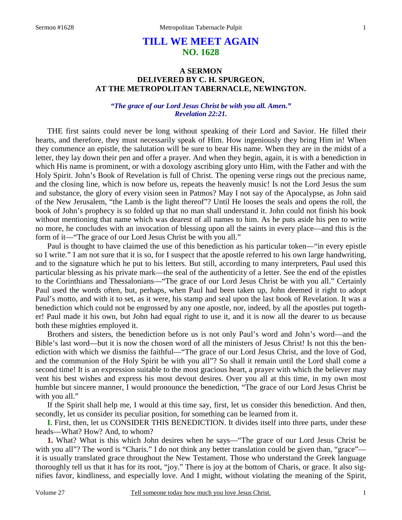## **TILL WE MEET AGAIN NO. 1628**

## **A SERMON DELIVERED BY C. H. SPURGEON, AT THE METROPOLITAN TABERNACLE, NEWINGTON.**

## *"The grace of our Lord Jesus Christ be with you all. Amen." Revelation 22:21.*

THE first saints could never be long without speaking of their Lord and Savior. He filled their hearts, and therefore, they must necessarily speak of Him. How ingeniously they bring Him in! When they commence an epistle, the salutation will be sure to bear His name. When they are in the midst of a letter, they lay down their pen and offer a prayer. And when they begin, again, it is with a benediction in which His name is prominent, or with a doxology ascribing glory unto Him, with the Father and with the Holy Spirit. John's Book of Revelation is full of Christ. The opening verse rings out the precious name, and the closing line, which is now before us, repeats the heavenly music! Is not the Lord Jesus the sum and substance, the glory of every vision seen in Patmos? May I not say of the Apocalypse, as John said of the New Jerusalem, "the Lamb is the light thereof"? Until He looses the seals and opens the roll, the book of John's prophecy is so folded up that no man shall understand it. John could not finish his book without mentioning that name which was dearest of all names to him. As he puts aside his pen to write no more, he concludes with an invocation of blessing upon all the saints in every place—and this is the form of it—"The grace of our Lord Jesus Christ be with you all."

 Paul is thought to have claimed the use of this benediction as his particular token—"in every epistle so I write." I am not sure that it is so, for I suspect that the apostle referred to his own large handwriting, and to the signature which he put to his letters. But still, according to many interpreters, Paul used this particular blessing as his private mark—the seal of the authenticity of a letter. See the end of the epistles to the Corinthians and Thessalonians—"The grace of our Lord Jesus Christ be with you all." Certainly Paul used the words often, but, perhaps, when Paul had been taken up, John deemed it right to adopt Paul's motto, and with it to set, as it were, his stamp and seal upon the last book of Revelation. It was a benediction which could not be engrossed by any one apostle, nor, indeed, by all the apostles put together! Paul made it his own, but John had equal right to use it, and it is now all the dearer to *us* because both these mighties employed it.

 Brothers and sisters, the benediction before us is not only Paul's word and John's word—and the Bible's last word—but it is now the chosen word of all the ministers of Jesus Christ! Is not this the benediction with which we dismiss the faithful—"The grace of our Lord Jesus Christ, and the love of God, and the communion of the Holy Spirit be with you all"? So shall it remain until the Lord shall come a second time! It is an expression suitable to the most gracious heart, a prayer with which the believer may vent his best wishes and express his most devout desires. Over you all at this time, in my own most humble but sincere manner, I would pronounce the benediction, "The grace of our Lord Jesus Christ be with you all."

 If the Spirit shall help me, I would at this time say, first, let us consider this benediction. And then, secondly, let us consider its peculiar position, for something can be learned from it.

**I.** First, then, let us CONSIDER THIS BENEDICTION. It divides itself into three parts, under these heads—What? How? And, to whom?

**1.** What? What is this which John desires when he says—"The grace of our Lord Jesus Christ be with you all"? The word is "Charis." I do not think any better translation could be given than, "grace" it is usually translated grace throughout the New Testament. Those who understand the Greek language thoroughly tell us that it has for its root, "joy." There is joy at the bottom of Charis, or grace. It also signifies favor, kindliness, and especially love. And I might, without violating the meaning of the Spirit,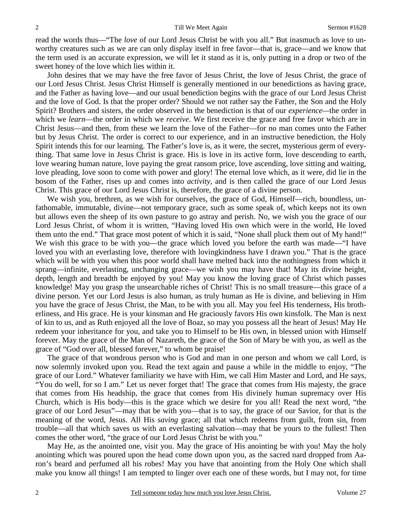read the words thus—"The *love* of our Lord Jesus Christ be with you all." But inasmuch as love to unworthy creatures such as we are can only display itself in free favor—that is, grace—and we know that the term used is an accurate expression, we will let it stand as it is, only putting in a drop or two of the sweet honey of the love which lies within it.

 John desires that we may have the free favor of Jesus Christ, the love of Jesus Christ, the grace of our Lord Jesus Christ. Jesus Christ Himself is generally mentioned in our benedictions as having grace, and the Father as having love—and our usual benediction begins with the grace of our Lord Jesus Christ and the love of God. Is that the proper order? Should we not rather say the Father, the Son and the Holy Spirit? Brothers and sisters, the order observed in the benediction is that of our *experience—*the order in which we *learn*—the order in which we *receive*. We first receive the grace and free favor which are in Christ Jesus—and then, from these we learn the love of the Father—for no man comes unto the Father but by Jesus Christ. The order is correct to our experience, and in an instructive benediction, the Holy Spirit intends this for our learning. The Father's love is, as it were, the secret, mysterious germ of everything. That same love in Jesus Christ is grace. His is love in its active form, love descending to earth, love wearing human nature, love paying the great ransom price, love ascending, love sitting and waiting, love pleading, love soon to come with power and glory! The eternal love which, as it were, did lie in the bosom of the Father, rises up and comes into *activity,* and is then called the grace of our Lord Jesus Christ. This grace of our Lord Jesus Christ is, therefore, the grace of a divine person.

 We wish you, brethren, as we wish for ourselves, the grace of God, Himself—rich, boundless, unfathomable, immutable, divine—not temporary grace, such as some speak of, which keeps not its own but allows even the sheep of its own pasture to go astray and perish. No, we wish you the grace of our Lord Jesus Christ, of whom it is written, "Having loved His own which were in the world, He loved them unto the end." That grace most potent of which it is said, "None shall pluck them out of My hand!" We wish this grace to be with you—the grace which loved you before the earth was made—"I have loved you with an everlasting love, therefore with lovingkindness have I drawn you." That is the grace which will be with you when this poor world shall have melted back into the nothingness from which it sprang—infinite, everlasting, unchanging grace—we wish you may have that! May its divine height, depth, length and breadth be enjoyed by you! May you know the loving grace of Christ which passes knowledge! May you grasp the unsearchable riches of Christ! This is no small treasure—this grace of a divine person. Yet our Lord Jesus is also human, as truly human as He is divine, and believing in Him you have the grace of Jesus Christ, the Man, to be with you all. May you feel His tenderness, His brotherliness, and His grace. He is your kinsman and He graciously favors His own kinsfolk. The Man is next of kin to us, and as Ruth enjoyed all the love of Boaz, so may you possess all the heart of Jesus! May He redeem your inheritance for you, and take you to Himself to be His own, in blessed union with Himself forever. May the grace of the Man of Nazareth, the grace of the Son of Mary be with you, as well as the grace of "God over all, blessed forever," to whom be praise!

 The grace of that wondrous person who is God and man in one person and whom we call Lord, is now solemnly invoked upon you. Read the text again and pause a while in the middle to enjoy, "The grace of our Lord." Whatever familiarity we have with Him, we call Him Master and Lord, and He says, "You do well, for so I am." Let us never forget that! The grace that comes from His majesty, the grace that comes from His headship, the grace that comes from His divinely human supremacy over His Church, which is His body—this is the grace which we desire for you all! Read the next word, "the grace of our Lord Jesus"—may that be with you—that is to say, the grace of our Savior, for that is the meaning of the word, Jesus. All His *saving* grace; all that which redeems from guilt, from sin, from trouble—all that which saves us with an everlasting salvation—may that be yours to the fullest! Then comes the other word, "the grace of our Lord Jesus Christ be with you."

 May He, as the anointed one, visit you. May the grace of His anointing be with you! May the holy anointing which was poured upon the head come down upon you, as the sacred nard dropped from Aaron's beard and perfumed all his robes! May you have that anointing from the Holy One which shall make you know all things! I am tempted to linger over each one of these words, but I may not, for time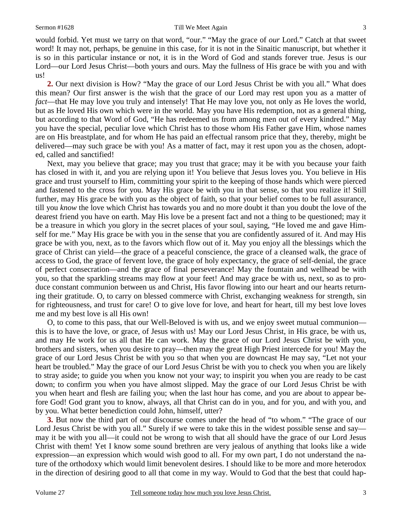would forbid. Yet must we tarry on that word, "our." "May the grace of *our* Lord." Catch at that sweet word! It may not, perhaps, be genuine in this case, for it is not in the Sinaitic manuscript, but whether it is so in this particular instance or not, it is in the Word of God and stands forever true. Jesus is our Lord—our Lord Jesus Christ—both yours and ours. May the fullness of His grace be with you and with us!

**2.** Our next division is How? "May the grace of our Lord Jesus Christ be with you all." What does this mean? Our first answer is the wish that the grace of our Lord may rest upon you as a matter of *fact*—that He may love you truly and intensely! That He may love you, not only as He loves the world, but as He loved His own which were in the world. May you have His redemption, not as a general thing, but according to that Word of God, "He has redeemed us from among men out of every kindred." May you have the special, peculiar love which Christ has to those whom His Father gave Him, whose names are on His breastplate, and for whom He has paid an effectual ransom price that they, thereby, might be delivered—may such grace be with you! As a matter of fact, may it rest upon you as the chosen, adopted, called and sanctified!

 Next, may you believe that grace; may you trust that grace; may it be with you because your faith has closed in with it, and you are relying upon it! You believe that Jesus loves you. You believe in His grace and trust yourself to Him, committing your spirit to the keeping of those hands which were pierced and fastened to the cross for you. May His grace be with you in that sense, so that you realize it! Still further, may His grace be with you as the object of faith, so that your belief comes to be full assurance, till you *know* the love which Christ has towards you and no more doubt it than you doubt the love of the dearest friend you have on earth. May His love be a present fact and not a thing to be questioned; may it be a treasure in which you glory in the secret places of your soul, saying, "He loved me and gave Himself for me." May His grace be with you in the sense that you are confidently assured of it. And may His grace be with you, next, as to the favors which flow out of it. May you enjoy all the blessings which the grace of Christ can yield—the grace of a peaceful conscience, the grace of a cleansed walk, the grace of access to God, the grace of fervent love, the grace of holy expectancy, the grace of self-denial, the grace of perfect consecration—and the grace of final perseverance! May the fountain and wellhead be with you, so that the sparkling streams may flow at your feet! And may grace be with us, next, so as to produce constant communion between us and Christ, His favor flowing into our heart and our hearts returning their gratitude. O, to carry on blessed commerce with Christ, exchanging weakness for strength, sin for righteousness, and trust for care! O to give love for love, and heart for heart, till my best love loves me and my best love is all His own!

 O, to come to this pass, that our Well-Beloved is with us, and we enjoy sweet mutual communion this is to have the love, or grace, of Jesus with us! May our Lord Jesus Christ, in His grace, be with us, and may He work for us all that He can work. May the grace of our Lord Jesus Christ be with you, brothers and sisters, when you desire to pray—then may the great High Priest intercede for you! May the grace of our Lord Jesus Christ be with you so that when you are downcast He may say, "Let not your heart be troubled." May the grace of our Lord Jesus Christ be with you to check you when you are likely to stray aside; to guide you when you know not your way; to inspirit you when you are ready to be cast down; to confirm you when you have almost slipped. May the grace of our Lord Jesus Christ be with you when heart and flesh are failing you; when the last hour has come, and you are about to appear before God! God grant you to know, always, all that Christ can do in you, and for you, and with you, and by you. What better benediction could John, himself, utter?

**3.** But now the third part of our discourse comes under the head of "to whom." "The grace of our Lord Jesus Christ be with you all." Surely if we were to take this in the widest possible sense and say may it be with you all—it could not be wrong to wish that all should have the grace of our Lord Jesus Christ with them! Yet I know some sound brethren are very jealous of anything that looks like a wide expression—an expression which would wish good to all. For my own part, I do not understand the nature of the orthodoxy which would limit benevolent desires. I should like to be more and more heterodox in the direction of desiring good to all that come in my way. Would to God that the best that could hap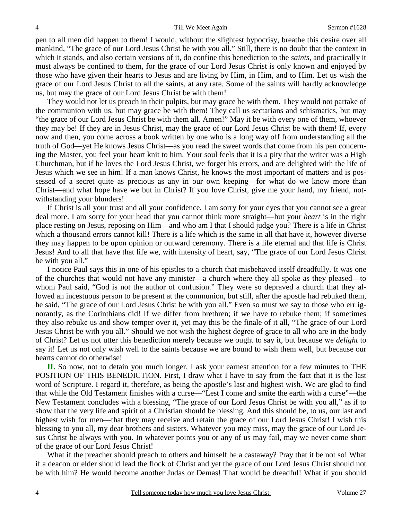pen to all men did happen to them! I would, without the slightest hypocrisy, breathe this desire over all mankind, "The grace of our Lord Jesus Christ be with you all." Still, there is no doubt that the context in which it stands, and also certain versions of it, do confine this benediction to the *saints,* and practically it must always be confined to them, for the grace of our Lord Jesus Christ is only known and enjoyed by those who have given their hearts to Jesus and are living by Him, in Him, and to Him. Let us wish the grace of our Lord Jesus Christ to all the saints, at any rate. Some of the saints will hardly acknowledge us, but may the grace of our Lord Jesus Christ be with them!

 They would not let us preach in their pulpits, but may grace be with them. They would not partake of the communion with us, but may grace be with them! They call us sectarians and schismatics, but may "the grace of our Lord Jesus Christ be with them all. Amen!" May it be with every one of them, whoever they may be! If they are in Jesus Christ, may the grace of our Lord Jesus Christ be with them! If, every now and then, you come across a book written by one who is a long way off from understanding all the truth of God—yet He knows Jesus Christ—as you read the sweet words that come from his pen concerning the Master, you feel your heart knit to him. Your soul feels that it is a pity that the writer was a High Churchman, but if he loves the Lord Jesus Christ, we forget his errors, and are delighted with the life of Jesus which we see in him! If a man knows Christ, he knows the most important of matters and is possessed of a secret quite as precious as any in our own keeping—for what do we know more than Christ—and what hope have we but in Christ? If you love Christ, give me your hand, my friend, notwithstanding your blunders!

 If Christ is all your trust and all your confidence, I am sorry for your eyes that you cannot see a great deal more. I am sorry for your head that you cannot think more straight—but your *heart* is in the right place resting on Jesus, reposing on Him—and who am I that I should judge you? There is a life in Christ which a thousand errors cannot kill! There is a life which is the same in all that have it, however diverse they may happen to be upon opinion or outward ceremony. There is a life eternal and that life is Christ Jesus! And to all that have that life we, with intensity of heart, say, "The grace of our Lord Jesus Christ be with you all."

 I notice Paul says this in one of his epistles to a church that misbehaved itself dreadfully. It was one of the churches that would not have any minister—a church where they all spoke as they pleased—to whom Paul said, "God is not the author of confusion." They were so depraved a church that they allowed an incestuous person to be present at the communion, but still, after the apostle had rebuked them, he said, "The grace of our Lord Jesus Christ be with you all." Even so must we say to those who err ignorantly, as the Corinthians did! If we differ from brethren; if we have to rebuke them; if sometimes they also rebuke us and show temper over it, yet may this be the finale of it all, "The grace of our Lord Jesus Christ be with you all." Should we not wish the highest degree of grace to all who are in the body of Christ? Let us not utter this benediction merely because we ought to say it, but because we *delight* to say it! Let us not only wish well to the saints because we are bound to wish them well, but because our hearts cannot do otherwise!

**II.** So now, not to detain you much longer, I ask your earnest attention for a few minutes to THE POSITION OF THIS BENEDICTION. First, I draw what I have to say from the fact that it is the last word of Scripture. I regard it, therefore, as being the apostle's last and highest wish. We are glad to find that while the Old Testament finishes with a curse—"Lest I come and smite the earth with a curse"—the New Testament concludes with a blessing, "The grace of our Lord Jesus Christ be with you all," as if to show that the very life and spirit of a Christian should be blessing. And this should be, to us, our last and highest wish for men—that they may receive and retain the grace of our Lord Jesus Christ! I wish this blessing to you all, my dear brothers and sisters. Whatever you may miss, may the grace of our Lord Jesus Christ be always with you. In whatever points you or any of us may fail, may we never come short of the grace of our Lord Jesus Christ!

 What if the preacher should preach to others and himself be a castaway? Pray that it be not so! What if a deacon or elder should lead the flock of Christ and yet the grace of our Lord Jesus Christ should not be with him? He would become another Judas or Demas! That would be dreadful! What if you should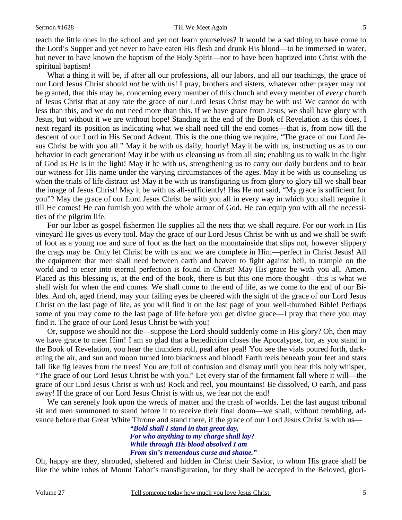teach the little ones in the school and yet not learn yourselves? It would be a sad thing to have come to the Lord's Supper and yet never to have eaten His flesh and drunk His blood—to be immersed in water, but never to have known the baptism of the Holy Spirit—nor to have been baptized into Christ with the spiritual baptism!

 What a thing it will be, if after all our professions, all our labors, and all our teachings, the grace of our Lord Jesus Christ should *not* be with us! I pray, brothers and sisters, whatever other prayer may not be granted, that this may be, concerning every member of this church and every member of *every* church of Jesus Christ that at any rate the grace of our Lord Jesus Christ may be with us! We cannot do with less than this, and we do not need more than this. If we have grace from Jesus, we shall have glory with Jesus, but without it we are without hope! Standing at the end of the Book of Revelation as this does, I next regard its position as indicating what we shall need till the end comes—that is, from now till the descent of our Lord in His Second Advent. This is the one thing we require, "The grace of our Lord Jesus Christ be with you all." May it be with us daily, hourly! May it be with us, instructing us as to our behavior in each generation! May it be with us cleansing us from all sin; enabling us to walk in the light of God as He is in the light! May it be with us, strengthening us to carry our daily burdens and to bear our witness for His name under the varying circumstances of the ages. May it be with us counseling us when the trials of life distract us! May it be with us transfiguring us from glory to glory till we shall bear the image of Jesus Christ! May it be with us all-sufficiently! Has He not said, "My grace is sufficient for you"? May the grace of our Lord Jesus Christ be with you all in every way in which you shall require it till He comes! He can furnish you with the whole armor of God. He can equip you with all the necessities of the pilgrim life.

 For our labor as gospel fishermen He supplies all the nets that we shall require. For our work in His vineyard He gives us every tool. May the grace of our Lord Jesus Christ be with us and we shall be swift of foot as a young roe and sure of foot as the hart on the mountainside that slips not, however slippery the crags may be. Only let Christ be with us and we are complete in Him—perfect in Christ Jesus! All the equipment that men shall need between earth and heaven to fight against hell, to trample on the world and to enter into eternal perfection is found in Christ! May His grace be with you all. Amen. Placed as this blessing is, at the end of the book, there is but this one more thought—this is what we shall wish for when the end comes. We shall come to the end of life, as we come to the end of our Bibles. And oh, aged friend, may your failing eyes be cheered with the sight of the grace of our Lord Jesus Christ on the last page of life, as you will find it on the last page of your well-thumbed Bible! Perhaps some of you may come to the last page of life before you get divine grace—I pray that there you may find it. The grace of our Lord Jesus Christ be with you!

 Or, suppose we should not die—suppose the Lord should suddenly come in His glory? Oh, then may we have grace to meet Him! I am so glad that a benediction closes the Apocalypse, for, as you stand in the Book of Revelation, you hear the thunders roll, peal after peal! You see the vials poured forth, darkening the air, and sun and moon turned into blackness and blood! Earth reels beneath your feet and stars fall like fig leaves from the trees! You are full of confusion and dismay until you hear this holy whisper, "The grace of our Lord Jesus Christ be with you." Let every star of the firmament fall where it will—the grace of our Lord Jesus Christ is with us! Rock and reel, you mountains! Be dissolved, O earth, and pass away! If the grace of our Lord Jesus Christ is with us, we fear not the end!

 We can serenely look upon the wreck of matter and the crash of worlds. Let the last august tribunal sit and men summoned to stand before it to receive their final doom—we shall, without trembling, advance before that Great White Throne and stand there, if the grace of our Lord Jesus Christ is with us—

*"Bold shall I stand in that great day, For who anything to my charge shall lay? While through His blood absolved I am From sin's tremendous curse and shame."* 

Oh, happy are they, shrouded, sheltered and hidden in Christ their Savior, to whom His grace shall be like the white robes of Mount Tabor's transfiguration, for they shall be accepted in the Beloved, glori